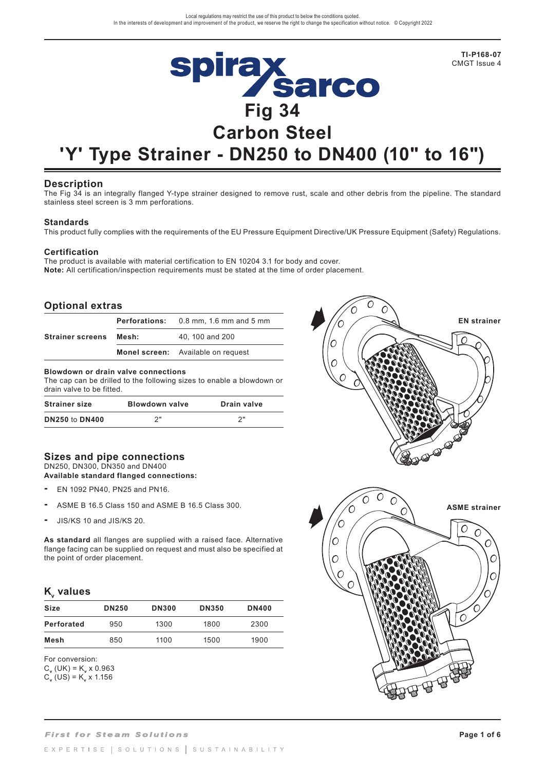

# **'Y' Type Strainer - DN250 to DN400 (10" to 16")**

## **Description**

The Fig 34 is an integrally flanged Y-type strainer designed to remove rust, scale and other debris from the pipeline. The standard stainless steel screen is 3 mm perforations.

## **Standards**

This product fully complies with the requirements of the EU Pressure Equipment Directive/UK Pressure Equipment (Safety) Regulations.

O

## **Certification**

The product is available with material certification to EN 10204 3.1 for body and cover. **Note:** All certification/inspection requirements must be stated at the time of order placement.

## **Optional extras**

|                         |       | <b>Perforations:</b> 0.8 mm, 1.6 mm and 5 mm |  |  |  |
|-------------------------|-------|----------------------------------------------|--|--|--|
| <b>Strainer screens</b> | Mesh: | 40, 100 and 200                              |  |  |  |
|                         |       | <b>Monel screen:</b> Available on request    |  |  |  |

#### **Blowdown or drain valve connections**

The cap can be drilled to the following sizes to enable a blowdown or drain valve to be fitted.

| <b>Strainer size</b>  | <b>Blowdown valve</b> | Drain valve |  |  |
|-----------------------|-----------------------|-------------|--|--|
| <b>DN250 to DN400</b> | つ"                    | ົາ          |  |  |

## **Sizes and pipe connections** DN250, DN300, DN350 and DN400

#### **Available standard flanged connections:**

- EN 1092 PN40, PN25 and PN16.
- ASME B 16.5 Class 150 and ASME B 16.5 Class 300.
- JIS/KS 10 and JIS/KS 20.

**As standard** all flanges are supplied with a raised face. Alternative flange facing can be supplied on request and must also be specified at the point of order placement.

## **K**<sub>v</sub> values

| Size       | <b>DN250</b> | <b>DN300</b> | <b>DN350</b> | <b>DN400</b> |
|------------|--------------|--------------|--------------|--------------|
| Perforated | 950          | 1300         | 1800         | 2300         |
| Mesh       | 850          | 1100         | 1500         | 1900         |

For conversion:

 $C_v$  (UK) = K<sub>v</sub> x 0.963  $C_v$  (US) = K<sub>v</sub> x 1.156

 $\overline{O}$  $\subset$ **ASME strainer**  $^{\prime}\rm{O}$  $\circ$ C  $\overline{O}$  $\sqrt{ }$ ┌  $\sqrt{ }$  $\subset$ 

**EN strainer**

**TI-P168-07**  CMGT Issue 4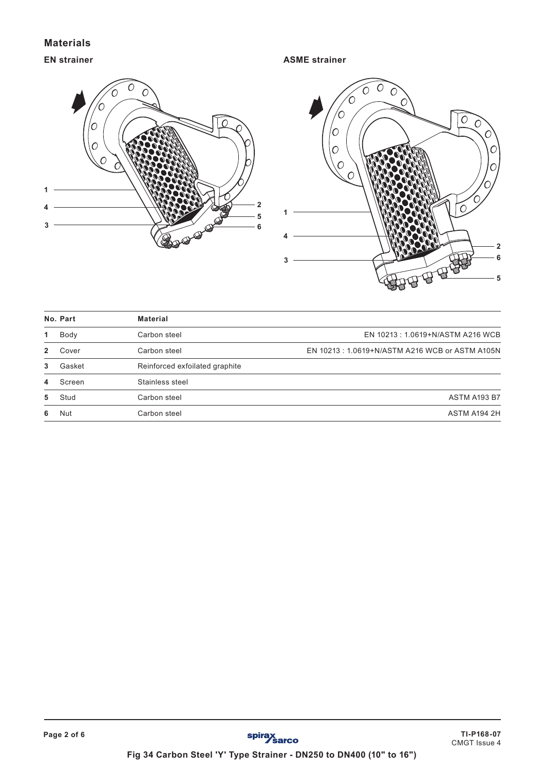# **Materials**

# **EN strainer**

**ASME strainer**





|   | No. Part | <b>Material</b>                |                                                |
|---|----------|--------------------------------|------------------------------------------------|
| 1 | Body     | Carbon steel                   | EN 10213: 1.0619+N/ASTM A216 WCB               |
| 2 | Cover    | Carbon steel                   | EN 10213: 1.0619+N/ASTM A216 WCB or ASTM A105N |
| 3 | Gasket   | Reinforced exfoilated graphite |                                                |
| 4 | Screen   | Stainless steel                |                                                |
| 5 | Stud     | Carbon steel                   | <b>ASTM A193 B7</b>                            |
| 6 | Nut      | Carbon steel                   | ASTM A194 2H                                   |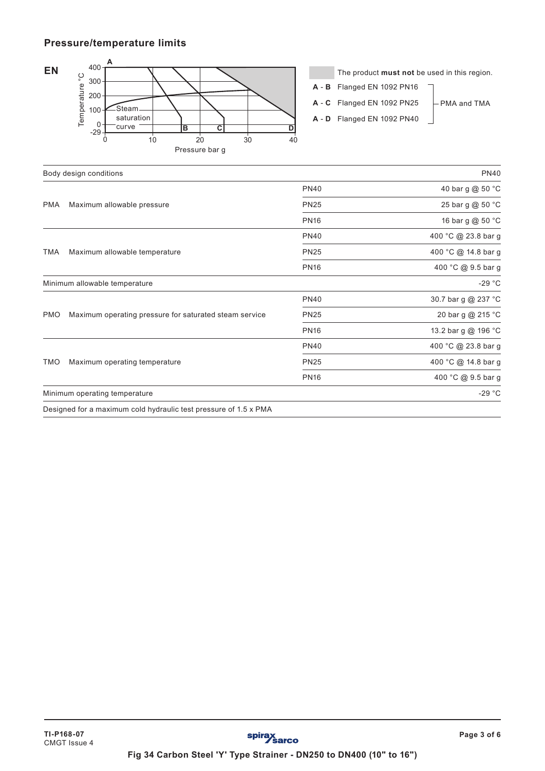# **Pressure/temperature limits**



The product **must not** be used in this region.

- **A B** Flanged EN 1092 PN16
- **A C** Flanged EN 1092 PN25
- **A D** Flanged EN 1092 PN40
- PMA and TMA

|                                             | Pressure bar g                                         |             |                     |
|---------------------------------------------|--------------------------------------------------------|-------------|---------------------|
|                                             | Body design conditions                                 |             | PN40                |
|                                             |                                                        | <b>PN40</b> | 40 bar g @ 50 °C    |
| <b>PMA</b>                                  | Maximum allowable pressure                             | <b>PN25</b> | 25 bar g @ 50 °C    |
|                                             |                                                        | <b>PN16</b> | 16 bar g @ 50 °C    |
|                                             |                                                        | <b>PN40</b> | 400 °C @ 23.8 bar g |
| <b>TMA</b><br>Maximum allowable temperature |                                                        | <b>PN25</b> | 400 °C @ 14.8 bar g |
|                                             |                                                        | <b>PN16</b> | 400 °C @ 9.5 bar g  |
|                                             | Minimum allowable temperature                          |             | $-29 °C$            |
|                                             |                                                        | <b>PN40</b> | 30.7 bar g @ 237 °C |
| <b>PMO</b>                                  | Maximum operating pressure for saturated steam service | <b>PN25</b> | 20 bar g @ 215 °C   |
|                                             |                                                        | <b>PN16</b> | 13.2 bar g @ 196 °C |
|                                             |                                                        | <b>PN40</b> | 400 °C @ 23.8 bar g |
| <b>TMO</b>                                  | Maximum operating temperature                          | <b>PN25</b> | 400 °C @ 14.8 bar g |
|                                             |                                                        | <b>PN16</b> | 400 °C @ 9.5 bar g  |
|                                             | Minimum operating temperature                          |             | $-29 °C$            |

Designed for a maximum cold hydraulic test pressure of 1.5 x PMA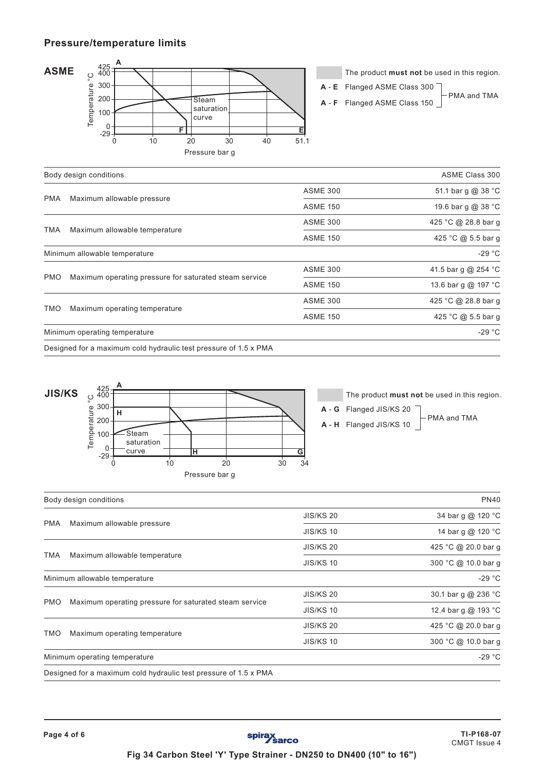# **Pressure/temperature limits**



The product **must not** be used in this region.

**A** - **E** Flanged ASME Class 300

**A** - **F** Flanged ASME Class 150

PMA and TMA

|            |                                                                                                                                                                                                                                                    | ASME Class 300  |                     |  |  |
|------------|----------------------------------------------------------------------------------------------------------------------------------------------------------------------------------------------------------------------------------------------------|-----------------|---------------------|--|--|
|            |                                                                                                                                                                                                                                                    | <b>ASME 300</b> | 51.1 bar g @ 38 °C  |  |  |
| <b>PMA</b> | Body design conditions<br>Maximum allowable pressure<br>Maximum allowable temperature<br>Minimum allowable temperature<br>Maximum operating pressure for saturated steam service<br>Maximum operating temperature<br>Minimum operating temperature | <b>ASME 150</b> | 19.6 bar g @ 38 °C  |  |  |
|            |                                                                                                                                                                                                                                                    | <b>ASME 300</b> | 425 °C @ 28.8 bar g |  |  |
| TMA        |                                                                                                                                                                                                                                                    | <b>ASME 150</b> | 425 °C @ 5.5 bar g  |  |  |
|            |                                                                                                                                                                                                                                                    |                 | $-29 °C$            |  |  |
|            |                                                                                                                                                                                                                                                    | <b>ASME 300</b> | 41.5 bar g @ 254 °C |  |  |
| <b>PMO</b> |                                                                                                                                                                                                                                                    | <b>ASME 150</b> | 13.6 bar g @ 197 °C |  |  |
|            |                                                                                                                                                                                                                                                    | <b>ASME 300</b> | 425 °C @ 28.8 bar g |  |  |
| TMO        |                                                                                                                                                                                                                                                    | <b>ASME 150</b> | 425 °C @ 5.5 bar g  |  |  |
|            |                                                                                                                                                                                                                                                    |                 | $-29 °C$            |  |  |
|            | Designed for a maximum cold hydraulic test pressure of 1.5 x PMA                                                                                                                                                                                   |                 |                     |  |  |



The product **must not** be used in this region. **A** - **G** Flanged JIS/KS 20

**A** - **H** Flanged JIS/KS 10

PMA and TMA

|            | Body design conditions                                           |                  | <b>PN40</b>         |
|------------|------------------------------------------------------------------|------------------|---------------------|
|            |                                                                  | <b>JIS/KS 20</b> | 34 bar g @ 120 °C   |
| <b>PMA</b> | Maximum allowable pressure                                       | <b>JIS/KS 10</b> | 14 bar g @ 120 °C   |
|            |                                                                  | <b>JIS/KS 20</b> | 425 °C @ 20.0 bar g |
| TMA        | Maximum allowable temperature                                    | <b>JIS/KS 10</b> | 300 °C @ 10.0 bar q |
|            | Minimum allowable temperature                                    |                  | $-29 °C$            |
|            |                                                                  | <b>JIS/KS 20</b> | 30.1 bar g @ 236 °C |
| <b>PMO</b> | Maximum operating pressure for saturated steam service           | <b>JIS/KS 10</b> | 12.4 bar g @ 193 °C |
|            |                                                                  | <b>JIS/KS 20</b> | 425 °C @ 20.0 bar g |
| TMO        | Maximum operating temperature                                    | <b>JIS/KS 10</b> | 300 °C @ 10.0 bar g |
|            | Minimum operating temperature                                    |                  | $-29 °C$            |
|            | Designed for a maximum cold hydraulic test pressure of 1.5 x PMA |                  |                     |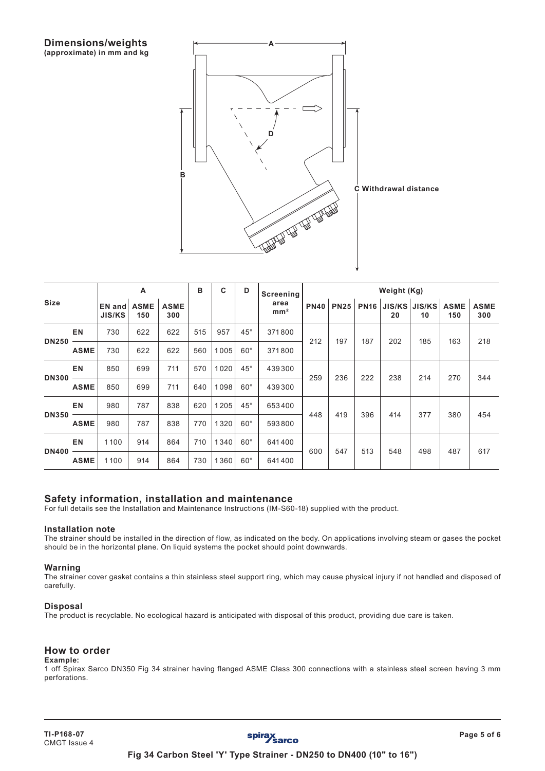

| <b>Size</b>  |             | A                       |                    | B                  | C   | D    | Weight (Kg)<br><b>Screening</b> |                         |             |             |             |     |                     |                    |                    |
|--------------|-------------|-------------------------|--------------------|--------------------|-----|------|---------------------------------|-------------------------|-------------|-------------|-------------|-----|---------------------|--------------------|--------------------|
|              |             | EN and<br><b>JIS/KS</b> | <b>ASME</b><br>150 | <b>ASME</b><br>300 |     |      |                                 | area<br>mm <sup>2</sup> | <b>PN40</b> | <b>PN25</b> | <b>PN16</b> | 20  | JIS/KS JIS/KS<br>10 | <b>ASME</b><br>150 | <b>ASME</b><br>300 |
|              | <b>EN</b>   | 730                     | 622                | 622                | 515 | 957  | $45^{\circ}$                    | 371800                  | 212         | 197         | 187         | 202 |                     | 163                | 218                |
| <b>DN250</b> | <b>ASME</b> | 730                     | 622                | 622                | 560 | 1005 | $60^{\circ}$                    | 371800                  |             |             |             |     | 185                 |                    |                    |
|              | <b>EN</b>   | 850                     | 699                | 711                | 570 | 1020 | $45^{\circ}$                    | 439300                  | 259         | 236         | 222         | 238 | 214                 | 270                | 344                |
| <b>DN300</b> | <b>ASME</b> | 850                     | 699                | 711                | 640 | 1098 | $60^\circ$                      | 439300                  |             |             |             |     |                     |                    |                    |
| <b>DN350</b> | <b>EN</b>   | 980                     | 787                | 838                | 620 | 1205 | $45^{\circ}$                    | 653400                  |             | 448<br>419  | 396         | 414 | 377                 | 380                | 454                |
|              | <b>ASME</b> | 980                     | 787                | 838                | 770 | 1320 | $60^\circ$                      | 593800                  |             |             |             |     |                     |                    |                    |
| <b>DN400</b> | <b>EN</b>   | 1100                    | 914                | 864                | 710 | 1340 | $60^{\circ}$                    | 641400                  | 600         |             |             |     | 498                 | 487                | 617                |
|              | <b>ASME</b> | 1100                    | 914                | 864                | 730 | 1360 | $60^\circ$                      | 641400                  |             | 547         | 513         | 548 |                     |                    |                    |

## **Safety information, installation and maintenance**

For full details see the Installation and Maintenance Instructions (IM-S60-18) supplied with the product.

#### **Installation note**

The strainer should be installed in the direction of flow, as indicated on the body. On applications involving steam or gases the pocket should be in the horizontal plane. On liquid systems the pocket should point downwards.

#### **Warning**

The strainer cover gasket contains a thin stainless steel support ring, which may cause physical injury if not handled and disposed of carefully.

#### **Disposal**

The product is recyclable. No ecological hazard is anticipated with disposal of this product, providing due care is taken.

## **How to order**

**Example:** 1 off Spirax Sarco DN350 Fig 34 strainer having flanged ASME Class 300 connections with a stainless steel screen having 3 mm perforations.